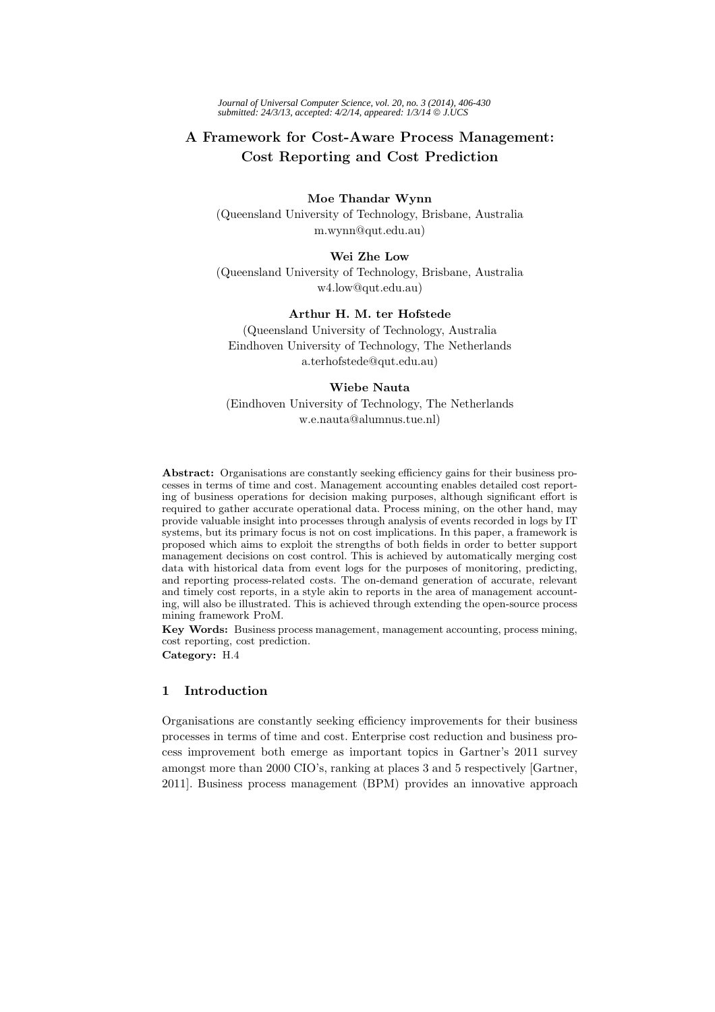*Journal of Universal Computer Science, vol. 20, no. 3 (2014), 406-430 submitted: 24/3/13, accepted: 4/2/14, appeared: 1/3/14* © *J.UCS*

# **A Framework for Cost-Aware Process Management: Cost Reporting and Cost Prediction**

#### **Moe Thandar Wynn**

(Queensland University of Technology, Brisbane, Australia m.wynn@qut.edu.au)

## **Wei Zhe Low**

(Queensland University of Technology, Brisbane, Australia w4.low@qut.edu.au)

## **Arthur H. M. ter Hofstede**

(Queensland University of Technology, Australia Eindhoven University of Technology, The Netherlands a.terhofstede@qut.edu.au)

### **Wiebe Nauta**

(Eindhoven University of Technology, The Netherlands w.e.nauta@alumnus.tue.nl)

**Abstract:** Organisations are constantly seeking efficiency gains for their business processes in terms of time and cost. Management accounting enables detailed cost reporting of business operations for decision making purposes, although significant effort is required to gather accurate operational data. Process mining, on the other hand, may provide valuable insight into processes through analysis of events recorded in logs by IT systems, but its primary focus is not on cost implications. In this paper, a framework is proposed which aims to exploit the strengths of both fields in order to better support management decisions on cost control. This is achieved by automatically merging cost data with historical data from event logs for the purposes of monitoring, predicting, and reporting process-related costs. The on-demand generation of accurate, relevant and timely cost reports, in a style akin to reports in the area of management accounting, will also be illustrated. This is achieved through extending the open-source process mining framework ProM.

**Key Words:** Business process management, management accounting, process mining, cost reporting, cost prediction. **Category:** H.4

## **1 Introduction**

Organisations are constantly seeking efficiency improvements for their business processes in terms of time and cost. Enterprise cost reduction and business process improvement both emerge as important topics in Gartner's 2011 survey amongst more than 2000 CIO's, ranking at places 3 and 5 respectively [Gartner, 2011]. Business process management (BPM) provides an innovative approach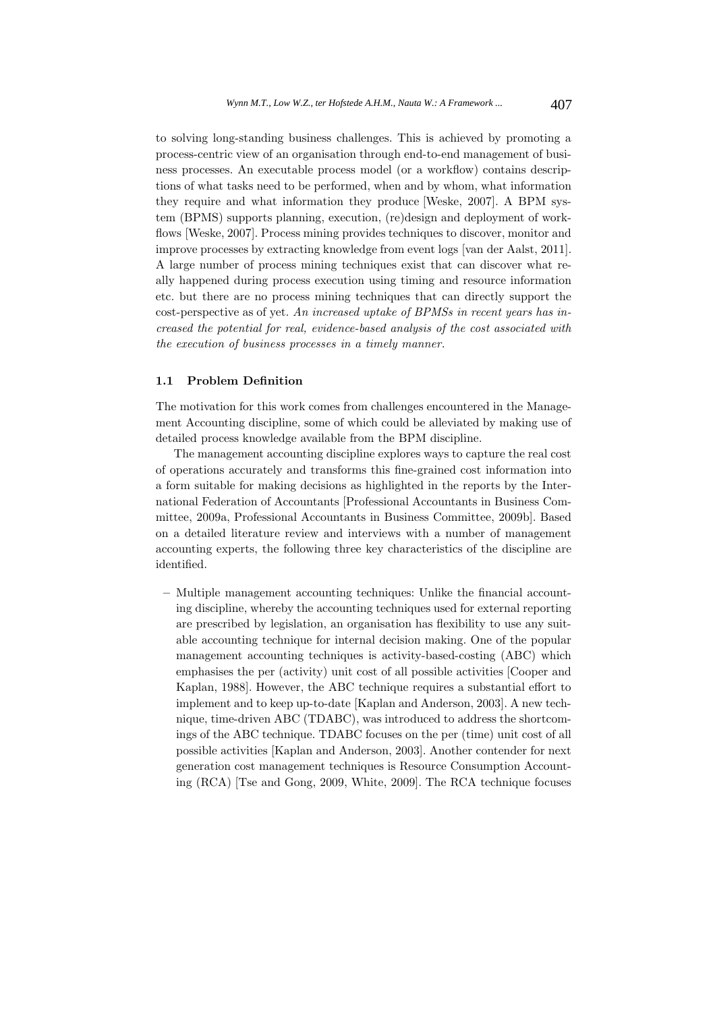to solving long-standing business challenges. This is achieved by promoting a process-centric view of an organisation through end-to-end management of business processes. An executable process model (or a workflow) contains descriptions of what tasks need to be performed, when and by whom, what information they require and what information they produce [Weske, 2007]. A BPM system (BPMS) supports planning, execution, (re)design and deployment of workflows [Weske, 2007]. Process mining provides techniques to discover, monitor and improve processes by extracting knowledge from event logs [van der Aalst, 2011]. A large number of process mining techniques exist that can discover what really happened during process execution using timing and resource information etc. but there are no process mining techniques that can directly support the cost-perspective as of yet. *An increased uptake of BPMSs in recent years has increased the potential for real, evidence-based analysis of the cost associated with the execution of business processes in a timely manner.*

### **1.1 Problem Definition**

The motivation for this work comes from challenges encountered in the Management Accounting discipline, some of which could be alleviated by making use of detailed process knowledge available from the BPM discipline.

The management accounting discipline explores ways to capture the real cost of operations accurately and transforms this fine-grained cost information into a form suitable for making decisions as highlighted in the reports by the International Federation of Accountants [Professional Accountants in Business Committee, 2009a, Professional Accountants in Business Committee, 2009b]. Based on a detailed literature review and interviews with a number of management accounting experts, the following three key characteristics of the discipline are identified.

**–** Multiple management accounting techniques: Unlike the financial accounting discipline, whereby the accounting techniques used for external reporting are prescribed by legislation, an organisation has flexibility to use any suitable accounting technique for internal decision making. One of the popular management accounting techniques is activity-based-costing (ABC) which emphasises the per (activity) unit cost of all possible activities [Cooper and Kaplan, 1988]. However, the ABC technique requires a substantial effort to implement and to keep up-to-date [Kaplan and Anderson, 2003]. A new technique, time-driven ABC (TDABC), was introduced to address the shortcomings of the ABC technique. TDABC focuses on the per (time) unit cost of all possible activities [Kaplan and Anderson, 2003]. Another contender for next generation cost management techniques is Resource Consumption Accounting (RCA) [Tse and Gong, 2009, White, 2009]. The RCA technique focuses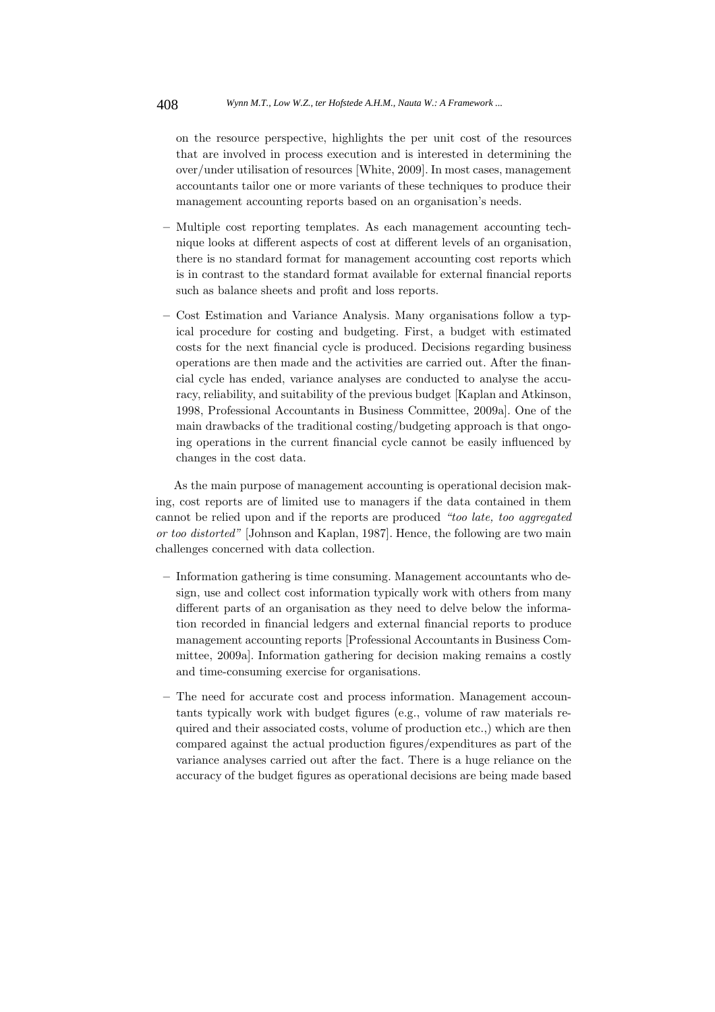on the resource perspective, highlights the per unit cost of the resources that are involved in process execution and is interested in determining the over/under utilisation of resources [White, 2009]. In most cases, management accountants tailor one or more variants of these techniques to produce their management accounting reports based on an organisation's needs.

- **–** Multiple cost reporting templates. As each management accounting technique looks at different aspects of cost at different levels of an organisation, there is no standard format for management accounting cost reports which is in contrast to the standard format available for external financial reports such as balance sheets and profit and loss reports.
- **–** Cost Estimation and Variance Analysis. Many organisations follow a typical procedure for costing and budgeting. First, a budget with estimated costs for the next financial cycle is produced. Decisions regarding business operations are then made and the activities are carried out. After the financial cycle has ended, variance analyses are conducted to analyse the accuracy, reliability, and suitability of the previous budget [Kaplan and Atkinson, 1998, Professional Accountants in Business Committee, 2009a]. One of the main drawbacks of the traditional costing/budgeting approach is that ongoing operations in the current financial cycle cannot be easily influenced by changes in the cost data.

As the main purpose of management accounting is operational decision making, cost reports are of limited use to managers if the data contained in them cannot be relied upon and if the reports are produced *"too late, too aggregated or too distorted"* [Johnson and Kaplan, 1987]. Hence, the following are two main challenges concerned with data collection.

- **–** Information gathering is time consuming. Management accountants who design, use and collect cost information typically work with others from many different parts of an organisation as they need to delve below the information recorded in financial ledgers and external financial reports to produce management accounting reports [Professional Accountants in Business Committee, 2009a]. Information gathering for decision making remains a costly and time-consuming exercise for organisations.
- **–** The need for accurate cost and process information. Management accountants typically work with budget figures (e.g., volume of raw materials required and their associated costs, volume of production etc.,) which are then compared against the actual production figures/expenditures as part of the variance analyses carried out after the fact. There is a huge reliance on the accuracy of the budget figures as operational decisions are being made based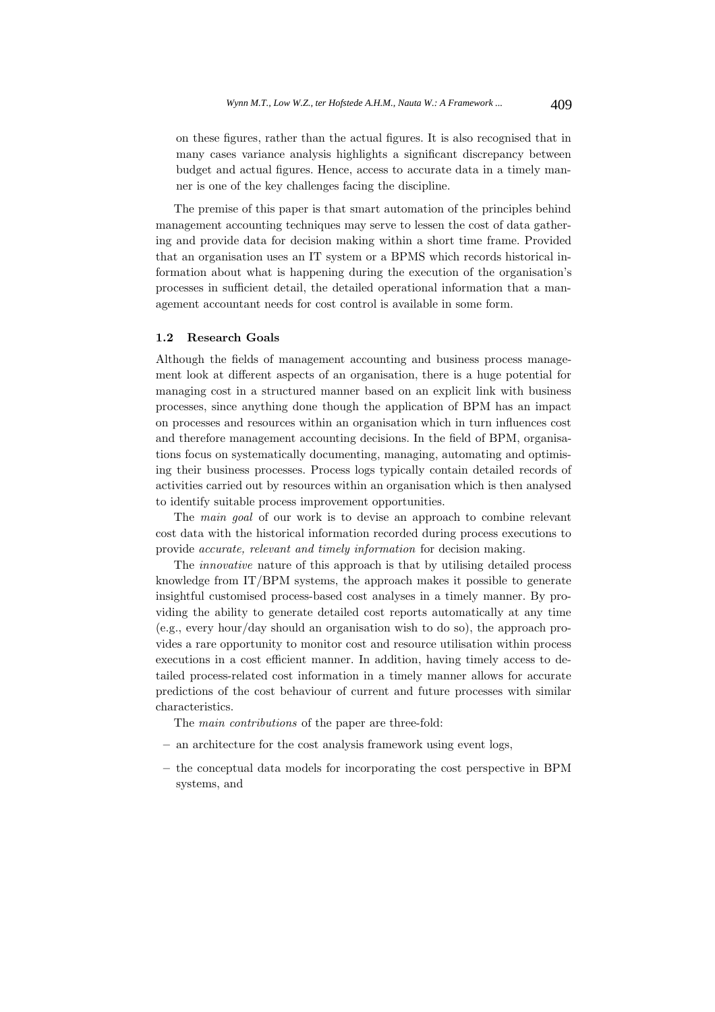on these figures, rather than the actual figures. It is also recognised that in many cases variance analysis highlights a significant discrepancy between budget and actual figures. Hence, access to accurate data in a timely manner is one of the key challenges facing the discipline.

The premise of this paper is that smart automation of the principles behind management accounting techniques may serve to lessen the cost of data gathering and provide data for decision making within a short time frame. Provided that an organisation uses an IT system or a BPMS which records historical information about what is happening during the execution of the organisation's processes in sufficient detail, the detailed operational information that a management accountant needs for cost control is available in some form.

### **1.2 Research Goals**

Although the fields of management accounting and business process management look at different aspects of an organisation, there is a huge potential for managing cost in a structured manner based on an explicit link with business processes, since anything done though the application of BPM has an impact on processes and resources within an organisation which in turn influences cost and therefore management accounting decisions. In the field of BPM, organisations focus on systematically documenting, managing, automating and optimising their business processes. Process logs typically contain detailed records of activities carried out by resources within an organisation which is then analysed to identify suitable process improvement opportunities.

The *main goal* of our work is to devise an approach to combine relevant cost data with the historical information recorded during process executions to provide *accurate, relevant and timely information* for decision making.

The *innovative* nature of this approach is that by utilising detailed process knowledge from IT/BPM systems, the approach makes it possible to generate insightful customised process-based cost analyses in a timely manner. By providing the ability to generate detailed cost reports automatically at any time (e.g., every hour/day should an organisation wish to do so), the approach provides a rare opportunity to monitor cost and resource utilisation within process executions in a cost efficient manner. In addition, having timely access to detailed process-related cost information in a timely manner allows for accurate predictions of the cost behaviour of current and future processes with similar characteristics.

The *main contributions* of the paper are three-fold:

- **–** an architecture for the cost analysis framework using event logs,
- **–** the conceptual data models for incorporating the cost perspective in BPM systems, and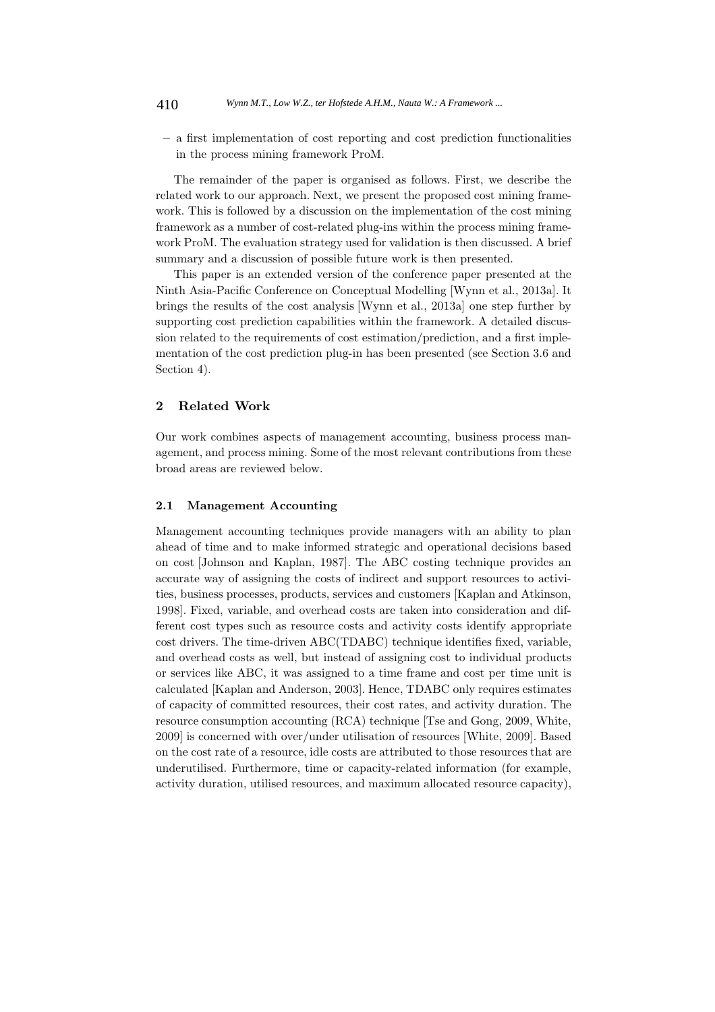**–** a first implementation of cost reporting and cost prediction functionalities in the process mining framework ProM.

The remainder of the paper is organised as follows. First, we describe the related work to our approach. Next, we present the proposed cost mining framework. This is followed by a discussion on the implementation of the cost mining framework as a number of cost-related plug-ins within the process mining framework ProM. The evaluation strategy used for validation is then discussed. A brief summary and a discussion of possible future work is then presented.

This paper is an extended version of the conference paper presented at the Ninth Asia-Pacific Conference on Conceptual Modelling [Wynn et al., 2013a]. It brings the results of the cost analysis [Wynn et al., 2013a] one step further by supporting cost prediction capabilities within the framework. A detailed discussion related to the requirements of cost estimation/prediction, and a first implementation of the cost prediction plug-in has been presented (see Section 3.6 and Section 4).

## **2 Related Work**

Our work combines aspects of management accounting, business process management, and process mining. Some of the most relevant contributions from these broad areas are reviewed below.

### **2.1 Management Accounting**

Management accounting techniques provide managers with an ability to plan ahead of time and to make informed strategic and operational decisions based on cost [Johnson and Kaplan, 1987]. The ABC costing technique provides an accurate way of assigning the costs of indirect and support resources to activities, business processes, products, services and customers [Kaplan and Atkinson, 1998]. Fixed, variable, and overhead costs are taken into consideration and different cost types such as resource costs and activity costs identify appropriate cost drivers. The time-driven ABC(TDABC) technique identifies fixed, variable, and overhead costs as well, but instead of assigning cost to individual products or services like ABC, it was assigned to a time frame and cost per time unit is calculated [Kaplan and Anderson, 2003]. Hence, TDABC only requires estimates of capacity of committed resources, their cost rates, and activity duration. The resource consumption accounting (RCA) technique [Tse and Gong, 2009, White, 2009] is concerned with over/under utilisation of resources [White, 2009]. Based on the cost rate of a resource, idle costs are attributed to those resources that are underutilised. Furthermore, time or capacity-related information (for example, activity duration, utilised resources, and maximum allocated resource capacity),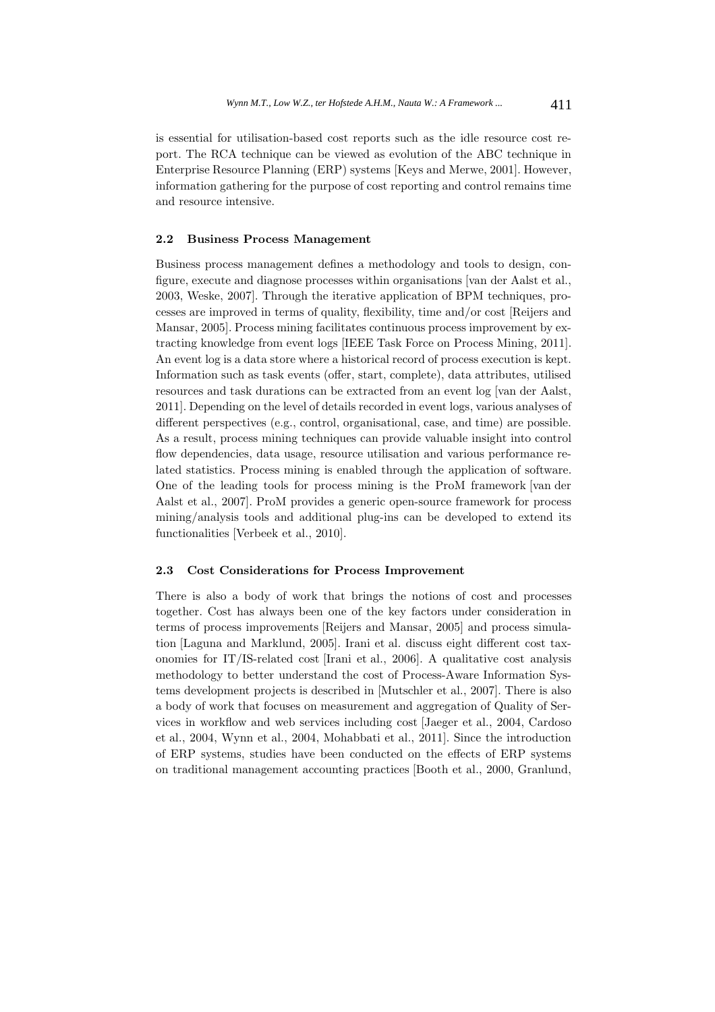is essential for utilisation-based cost reports such as the idle resource cost report. The RCA technique can be viewed as evolution of the ABC technique in Enterprise Resource Planning (ERP) systems [Keys and Merwe, 2001]. However, information gathering for the purpose of cost reporting and control remains time and resource intensive.

### **2.2 Business Process Management**

Business process management defines a methodology and tools to design, configure, execute and diagnose processes within organisations [van der Aalst et al., 2003, Weske, 2007]. Through the iterative application of BPM techniques, processes are improved in terms of quality, flexibility, time and/or cost [Reijers and Mansar, 2005]. Process mining facilitates continuous process improvement by extracting knowledge from event logs [IEEE Task Force on Process Mining, 2011]. An event log is a data store where a historical record of process execution is kept. Information such as task events (offer, start, complete), data attributes, utilised resources and task durations can be extracted from an event log [van der Aalst, 2011]. Depending on the level of details recorded in event logs, various analyses of different perspectives (e.g., control, organisational, case, and time) are possible. As a result, process mining techniques can provide valuable insight into control flow dependencies, data usage, resource utilisation and various performance related statistics. Process mining is enabled through the application of software. One of the leading tools for process mining is the ProM framework [van der Aalst et al., 2007]. ProM provides a generic open-source framework for process mining/analysis tools and additional plug-ins can be developed to extend its functionalities [Verbeek et al., 2010].

#### **2.3 Cost Considerations for Process Improvement**

There is also a body of work that brings the notions of cost and processes together. Cost has always been one of the key factors under consideration in terms of process improvements [Reijers and Mansar, 2005] and process simulation [Laguna and Marklund, 2005]. Irani et al. discuss eight different cost taxonomies for IT/IS-related cost [Irani et al., 2006]. A qualitative cost analysis methodology to better understand the cost of Process-Aware Information Systems development projects is described in [Mutschler et al., 2007]. There is also a body of work that focuses on measurement and aggregation of Quality of Services in workflow and web services including cost [Jaeger et al., 2004, Cardoso et al., 2004, Wynn et al., 2004, Mohabbati et al., 2011]. Since the introduction of ERP systems, studies have been conducted on the effects of ERP systems on traditional management accounting practices [Booth et al., 2000, Granlund,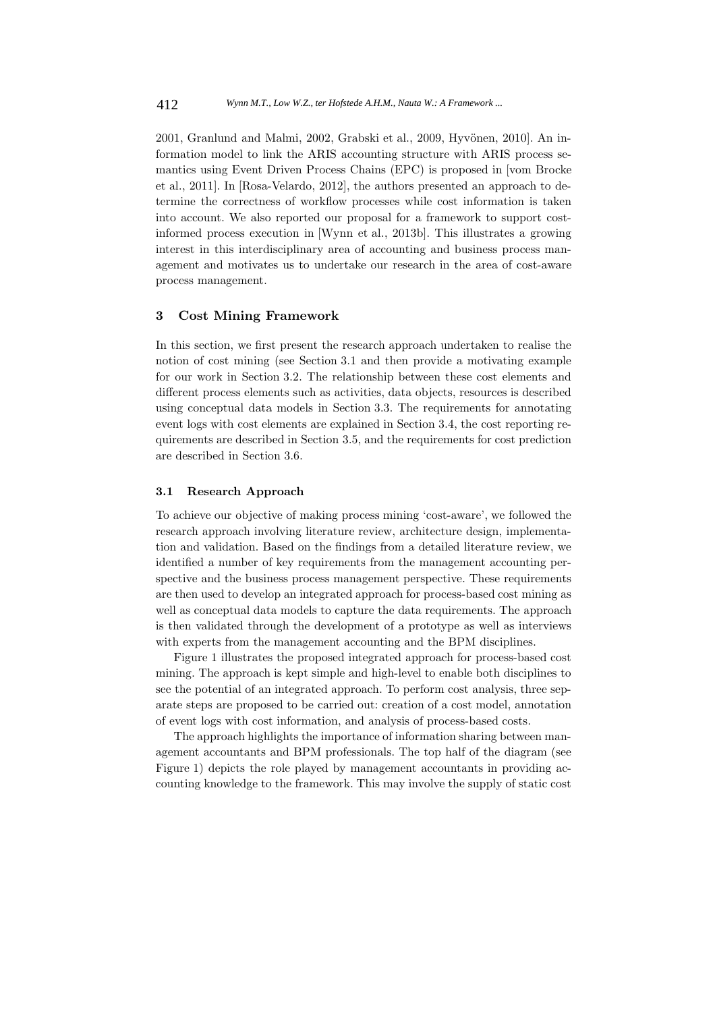2001, Granlund and Malmi, 2002, Grabski et al., 2009, Hyvönen, 2010]. An information model to link the ARIS accounting structure with ARIS process semantics using Event Driven Process Chains (EPC) is proposed in [vom Brocke et al., 2011]. In [Rosa-Velardo, 2012], the authors presented an approach to determine the correctness of workflow processes while cost information is taken into account. We also reported our proposal for a framework to support costinformed process execution in [Wynn et al., 2013b]. This illustrates a growing interest in this interdisciplinary area of accounting and business process management and motivates us to undertake our research in the area of cost-aware process management.

#### **3 Cost Mining Framework**

In this section, we first present the research approach undertaken to realise the notion of cost mining (see Section 3.1 and then provide a motivating example for our work in Section 3.2. The relationship between these cost elements and different process elements such as activities, data objects, resources is described using conceptual data models in Section 3.3. The requirements for annotating event logs with cost elements are explained in Section 3.4, the cost reporting requirements are described in Section 3.5, and the requirements for cost prediction are described in Section 3.6.

#### **3.1 Research Approach**

To achieve our objective of making process mining 'cost-aware', we followed the research approach involving literature review, architecture design, implementation and validation. Based on the findings from a detailed literature review, we identified a number of key requirements from the management accounting perspective and the business process management perspective. These requirements are then used to develop an integrated approach for process-based cost mining as well as conceptual data models to capture the data requirements. The approach is then validated through the development of a prototype as well as interviews with experts from the management accounting and the BPM disciplines.

Figure 1 illustrates the proposed integrated approach for process-based cost mining. The approach is kept simple and high-level to enable both disciplines to see the potential of an integrated approach. To perform cost analysis, three separate steps are proposed to be carried out: creation of a cost model, annotation of event logs with cost information, and analysis of process-based costs.

The approach highlights the importance of information sharing between management accountants and BPM professionals. The top half of the diagram (see Figure 1) depicts the role played by management accountants in providing accounting knowledge to the framework. This may involve the supply of static cost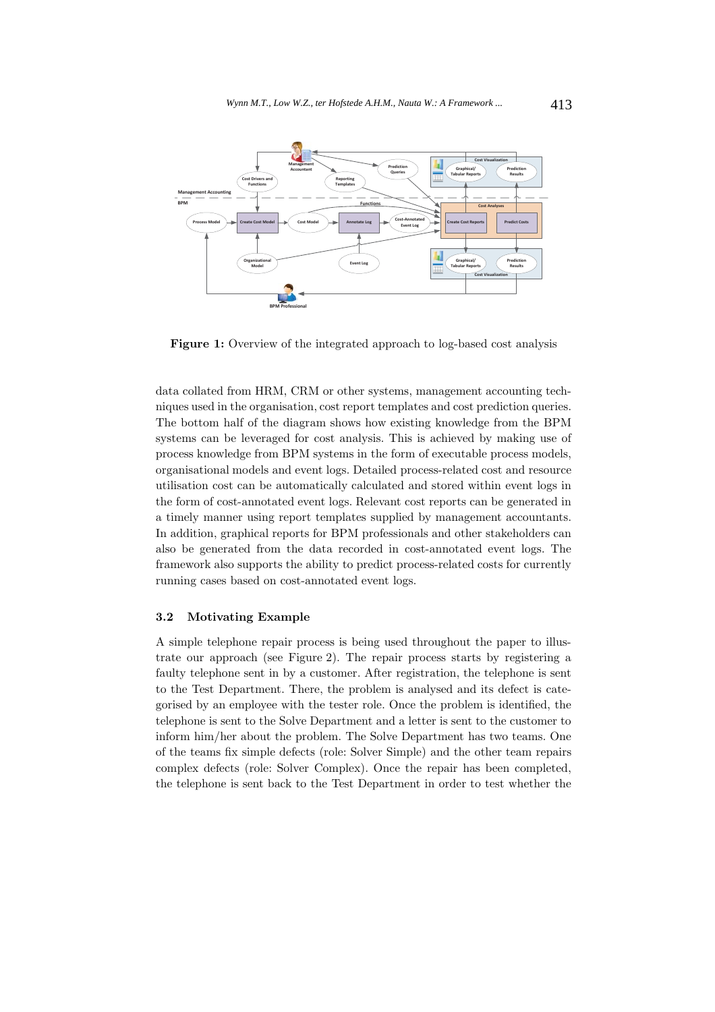

Figure 1: Overview of the integrated approach to log-based cost analysis

data collated from HRM, CRM or other systems, management accounting techniques used in the organisation, cost report templates and cost prediction queries. The bottom half of the diagram shows how existing knowledge from the BPM systems can be leveraged for cost analysis. This is achieved by making use of process knowledge from BPM systems in the form of executable process models, organisational models and event logs. Detailed process-related cost and resource utilisation cost can be automatically calculated and stored within event logs in the form of cost-annotated event logs. Relevant cost reports can be generated in a timely manner using report templates supplied by management accountants. In addition, graphical reports for BPM professionals and other stakeholders can also be generated from the data recorded in cost-annotated event logs. The framework also supports the ability to predict process-related costs for currently running cases based on cost-annotated event logs.

#### **3.2 Motivating Example**

A simple telephone repair process is being used throughout the paper to illustrate our approach (see Figure 2). The repair process starts by registering a faulty telephone sent in by a customer. After registration, the telephone is sent to the Test Department. There, the problem is analysed and its defect is categorised by an employee with the tester role. Once the problem is identified, the telephone is sent to the Solve Department and a letter is sent to the customer to inform him/her about the problem. The Solve Department has two teams. One of the teams fix simple defects (role: Solver Simple) and the other team repairs complex defects (role: Solver Complex). Once the repair has been completed, the telephone is sent back to the Test Department in order to test whether the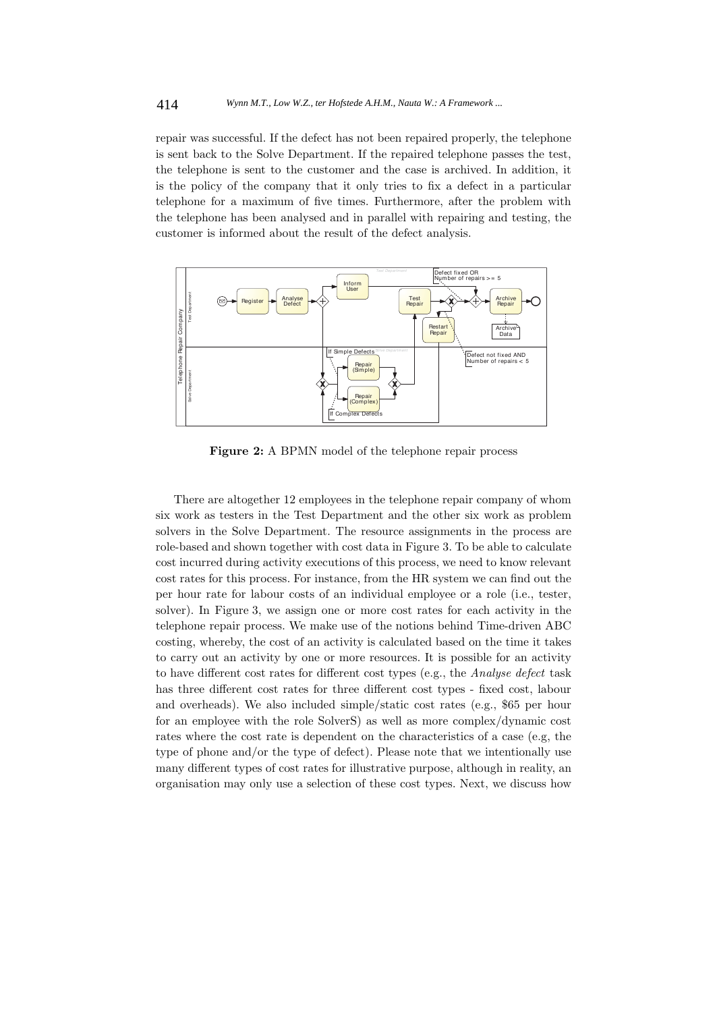repair was successful. If the defect has not been repaired properly, the telephone is sent back to the Solve Department. If the repaired telephone passes the test, the telephone is sent to the customer and the case is archived. In addition, it is the policy of the company that it only tries to fix a defect in a particular telephone for a maximum of five times. Furthermore, after the problem with the telephone has been analysed and in parallel with repairing and testing, the customer is informed about the result of the defect analysis.



**Figure 2:** A BPMN model of the telephone repair process

There are altogether 12 employees in the telephone repair company of whom six work as testers in the Test Department and the other six work as problem solvers in the Solve Department. The resource assignments in the process are role-based and shown together with cost data in Figure 3. To be able to calculate cost incurred during activity executions of this process, we need to know relevant cost rates for this process. For instance, from the HR system we can find out the per hour rate for labour costs of an individual employee or a role (i.e., tester, solver). In Figure 3, we assign one or more cost rates for each activity in the telephone repair process. We make use of the notions behind Time-driven ABC costing, whereby, the cost of an activity is calculated based on the time it takes to carry out an activity by one or more resources. It is possible for an activity to have different cost rates for different cost types (e.g., the *Analyse defect* task has three different cost rates for three different cost types - fixed cost, labour and overheads). We also included simple/static cost rates (e.g., \$65 per hour for an employee with the role SolverS) as well as more complex/dynamic cost rates where the cost rate is dependent on the characteristics of a case (e.g, the type of phone and/or the type of defect). Please note that we intentionally use many different types of cost rates for illustrative purpose, although in reality, an organisation may only use a selection of these cost types. Next, we discuss how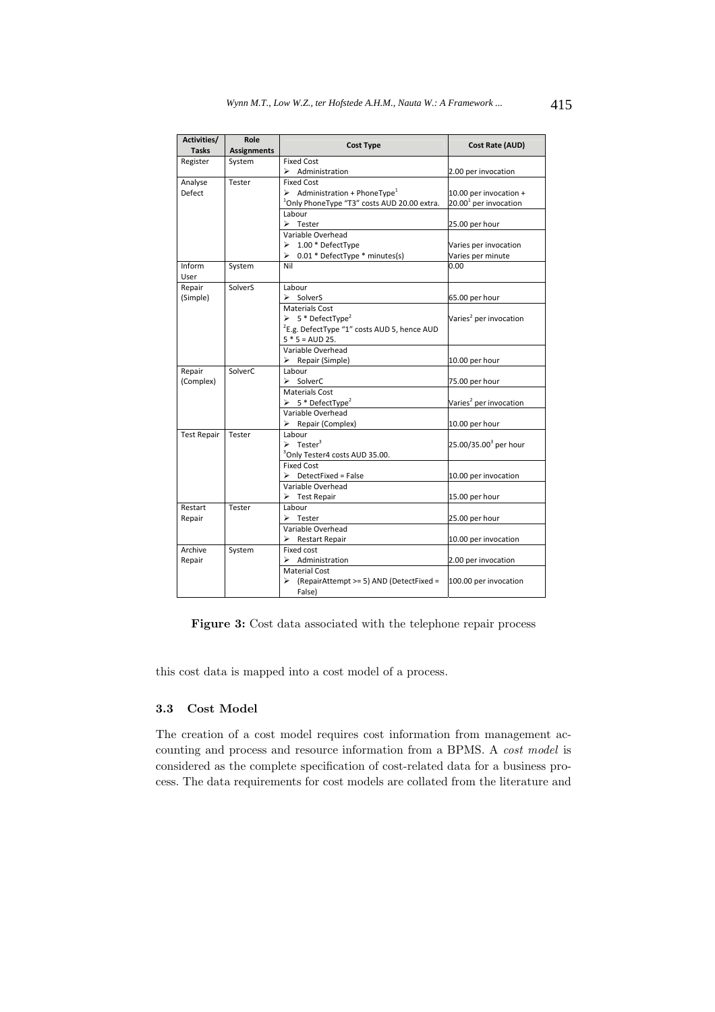| Activities/        | Role               | <b>Cost Type</b>                                         | Cost Rate (AUD)                    |
|--------------------|--------------------|----------------------------------------------------------|------------------------------------|
| <b>Tasks</b>       | <b>Assignments</b> |                                                          |                                    |
| Register           | System             | <b>Fixed Cost</b>                                        |                                    |
|                    |                    | $\triangleright$ Administration                          | 2.00 per invocation                |
| Analyse            | Tester             | <b>Fixed Cost</b>                                        |                                    |
| Defect             |                    | $\triangleright$ Administration + PhoneType <sup>1</sup> | 10.00 per invocation +             |
|                    |                    | <sup>1</sup> Only PhoneType "T3" costs AUD 20.00 extra.  | $20.001$ per invocation            |
|                    |                    | Labour                                                   |                                    |
|                    |                    | $\triangleright$ Tester                                  | 25.00 per hour                     |
|                    |                    | Variable Overhead                                        |                                    |
|                    |                    | $\geq 1.00$ * DefectType                                 | Varies per invocation              |
|                    |                    | $\geq 0.01$ * DefectType * minutes(s)                    | Varies per minute                  |
| Inform             | System             | Nil                                                      | 0.00                               |
| User               |                    |                                                          |                                    |
| Repair             | SolverS            | Labour                                                   |                                    |
| (Simple)           |                    | $\triangleright$ SolverS                                 | 65.00 per hour                     |
|                    |                    | <b>Materials Cost</b>                                    |                                    |
|                    |                    | $\triangleright$ 5 * DefectType <sup>2</sup>             | Varies <sup>2</sup> per invocation |
|                    |                    | <sup>2</sup> E.g. DefectType "1" costs AUD 5, hence AUD  |                                    |
|                    |                    | $5 * 5 = AUD 25.$                                        |                                    |
|                    |                    | Variable Overhead                                        |                                    |
|                    |                    | $\triangleright$ Repair (Simple)                         | 10.00 per hour                     |
| Repair             | SolverC            | Labour                                                   |                                    |
| (Complex)          |                    | $\triangleright$ SolverC                                 | 75.00 per hour                     |
|                    |                    | <b>Materials Cost</b>                                    |                                    |
|                    |                    | $\triangleright$ 5 * DefectType <sup>2</sup>             | Varies <sup>2</sup> per invocation |
|                    |                    | Variable Overhead                                        |                                    |
|                    |                    | $\triangleright$ Repair (Complex)                        | 10.00 per hour                     |
| <b>Test Repair</b> | Tester             | Labour                                                   |                                    |
|                    |                    | $\triangleright$ Tester <sup>3</sup>                     | 25.00/35.00 <sup>3</sup> per hour  |
|                    |                    | <sup>3</sup> Only Tester4 costs AUD 35.00.               |                                    |
|                    |                    | <b>Fixed Cost</b>                                        |                                    |
|                    |                    | $\triangleright$ DetectFixed = False                     | 10.00 per invocation               |
|                    |                    | Variable Overhead                                        |                                    |
|                    |                    | $\triangleright$ Test Repair                             | 15.00 per hour                     |
| Restart            | Tester             | Labour                                                   |                                    |
| Repair             |                    | $\triangleright$ Tester                                  | 25.00 per hour                     |
|                    |                    | Variable Overhead                                        |                                    |
|                    |                    | $\triangleright$ Restart Repair                          | 10.00 per invocation               |
| Archive            | System             | Fixed cost                                               |                                    |
| Repair             |                    | $\triangleright$ Administration                          | 2.00 per invocation                |
|                    |                    | <b>Material Cost</b>                                     |                                    |
|                    |                    | (RepairAttempt >= 5) AND (DetectFixed =                  | 100.00 per invocation              |
|                    |                    | False)                                                   |                                    |

**Figure 3:** Cost data associated with the telephone repair process

this cost data is mapped into a cost model of a process.

## **3.3 Cost Model**

The creation of a cost model requires cost information from management accounting and process and resource information from a BPMS. A *cost model* is considered as the complete specification of cost-related data for a business process. The data requirements for cost models are collated from the literature and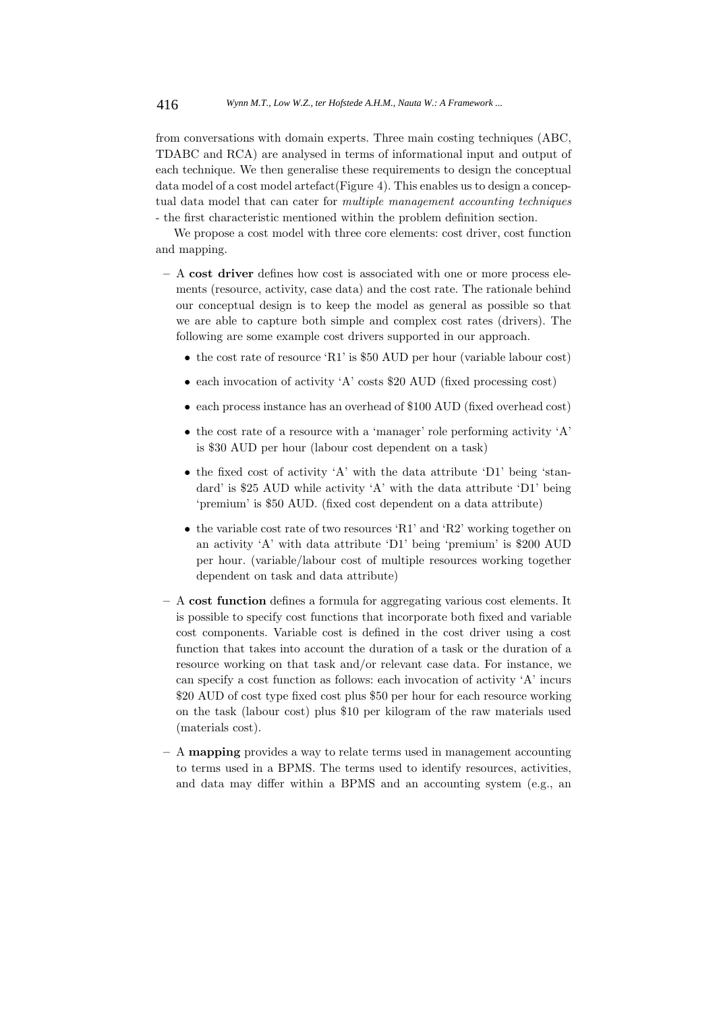from conversations with domain experts. Three main costing techniques (ABC, TDABC and RCA) are analysed in terms of informational input and output of each technique. We then generalise these requirements to design the conceptual data model of a cost model artefact(Figure 4). This enables us to design a conceptual data model that can cater for *multiple management accounting techniques* - the first characteristic mentioned within the problem definition section.

We propose a cost model with three core elements: cost driver, cost function and mapping.

- **–** A **cost driver** defines how cost is associated with one or more process elements (resource, activity, case data) and the cost rate. The rationale behind our conceptual design is to keep the model as general as possible so that we are able to capture both simple and complex cost rates (drivers). The following are some example cost drivers supported in our approach.
	- the cost rate of resource 'R1' is \$50 AUD per hour (variable labour cost)
	- each invocation of activity 'A' costs \$20 AUD (fixed processing cost)
	- each process instance has an overhead of \$100 AUD (fixed overhead cost)
	- the cost rate of a resource with a 'manager' role performing activity 'A' is \$30 AUD per hour (labour cost dependent on a task)
	- the fixed cost of activity 'A' with the data attribute 'D1' being 'standard' is \$25 AUD while activity 'A' with the data attribute 'D1' being 'premium' is \$50 AUD. (fixed cost dependent on a data attribute)
	- the variable cost rate of two resources 'R1' and 'R2' working together on an activity 'A' with data attribute 'D1' being 'premium' is \$200 AUD per hour. (variable/labour cost of multiple resources working together dependent on task and data attribute)
- **–** A **cost function** defines a formula for aggregating various cost elements. It is possible to specify cost functions that incorporate both fixed and variable cost components. Variable cost is defined in the cost driver using a cost function that takes into account the duration of a task or the duration of a resource working on that task and/or relevant case data. For instance, we can specify a cost function as follows: each invocation of activity 'A' incurs \$20 AUD of cost type fixed cost plus \$50 per hour for each resource working on the task (labour cost) plus \$10 per kilogram of the raw materials used (materials cost).
- **–** A **mapping** provides a way to relate terms used in management accounting to terms used in a BPMS. The terms used to identify resources, activities, and data may differ within a BPMS and an accounting system (e.g., an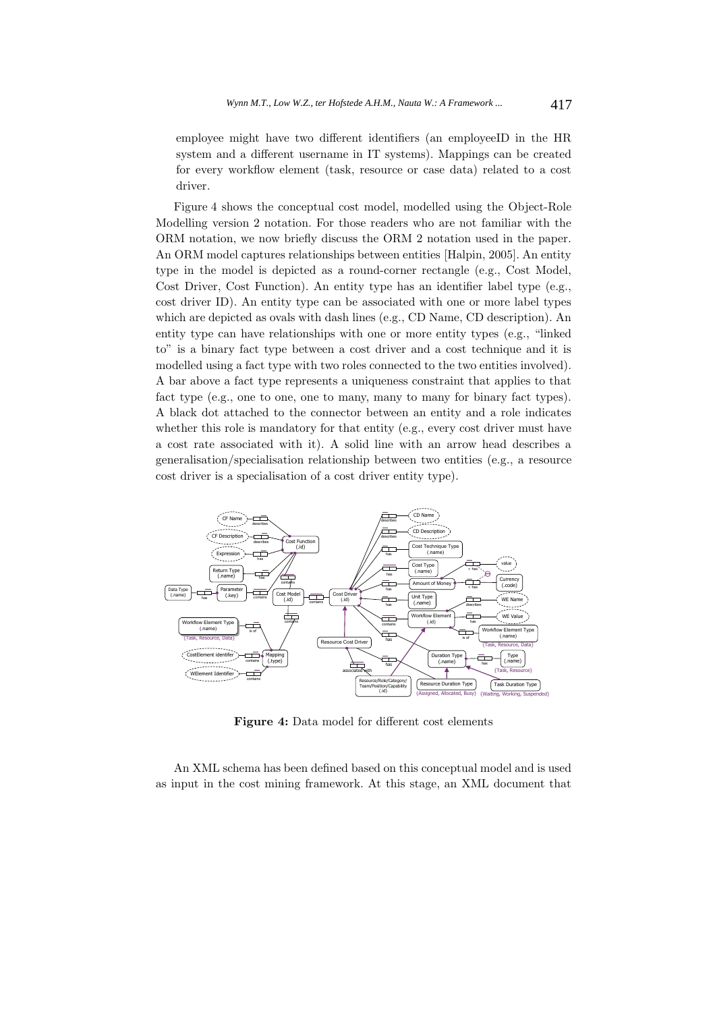employee might have two different identifiers (an employeeID in the HR system and a different username in IT systems). Mappings can be created for every workflow element (task, resource or case data) related to a cost driver.

Figure 4 shows the conceptual cost model, modelled using the Object-Role Modelling version 2 notation. For those readers who are not familiar with the ORM notation, we now briefly discuss the ORM 2 notation used in the paper. An ORM model captures relationships between entities [Halpin, 2005]. An entity type in the model is depicted as a round-corner rectangle (e.g., Cost Model, Cost Driver, Cost Function). An entity type has an identifier label type (e.g., cost driver ID). An entity type can be associated with one or more label types which are depicted as ovals with dash lines (e.g., CD Name, CD description). An entity type can have relationships with one or more entity types (e.g., "linked to" is a binary fact type between a cost driver and a cost technique and it is modelled using a fact type with two roles connected to the two entities involved). A bar above a fact type represents a uniqueness constraint that applies to that fact type (e.g., one to one, one to many, many to many for binary fact types). A black dot attached to the connector between an entity and a role indicates whether this role is mandatory for that entity (e.g., every cost driver must have a cost rate associated with it). A solid line with an arrow head describes a generalisation/specialisation relationship between two entities (e.g., a resource cost driver is a specialisation of a cost driver entity type).



**Figure 4:** Data model for different cost elements

An XML schema has been defined based on this conceptual model and is used as input in the cost mining framework. At this stage, an XML document that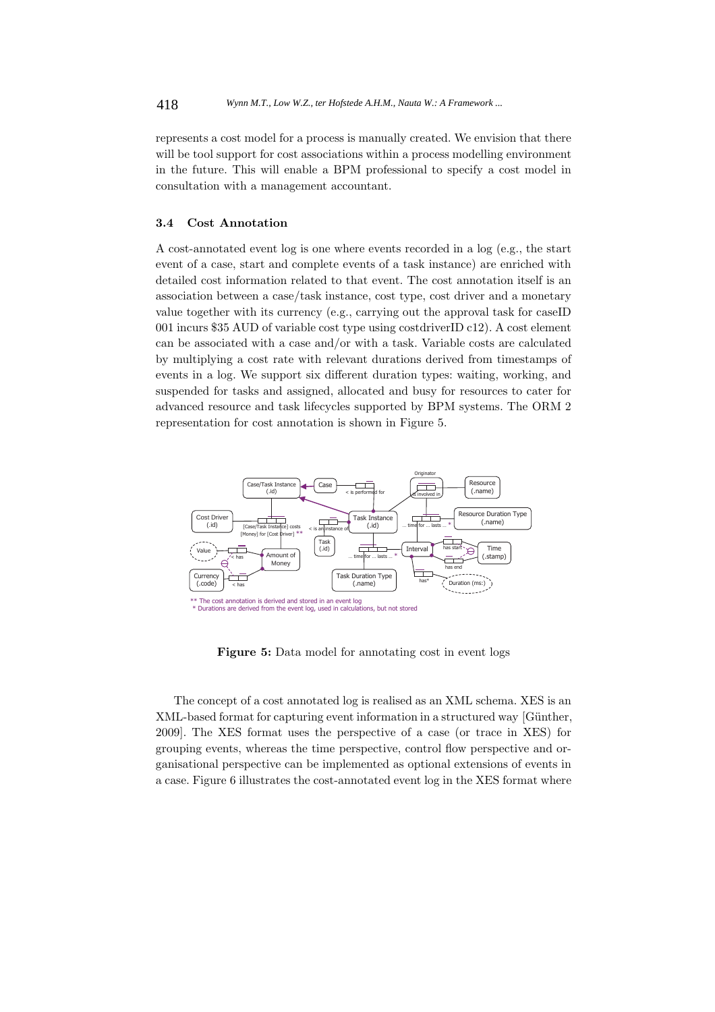represents a cost model for a process is manually created. We envision that there will be tool support for cost associations within a process modelling environment in the future. This will enable a BPM professional to specify a cost model in consultation with a management accountant.

#### **3.4 Cost Annotation**

A cost-annotated event log is one where events recorded in a log (e.g., the start event of a case, start and complete events of a task instance) are enriched with detailed cost information related to that event. The cost annotation itself is an association between a case/task instance, cost type, cost driver and a monetary value together with its currency (e.g., carrying out the approval task for caseID 001 incurs \$35 AUD of variable cost type using costdriverID c12). A cost element can be associated with a case and/or with a task. Variable costs are calculated by multiplying a cost rate with relevant durations derived from timestamps of events in a log. We support six different duration types: waiting, working, and suspended for tasks and assigned, allocated and busy for resources to cater for advanced resource and task lifecycles supported by BPM systems. The ORM 2 representation for cost annotation is shown in Figure 5.



**Figure 5:** Data model for annotating cost in event logs

The concept of a cost annotated log is realised as an XML schema. XES is an XML-based format for capturing event information in a structured way [Günther, 2009]. The XES format uses the perspective of a case (or trace in XES) for grouping events, whereas the time perspective, control flow perspective and organisational perspective can be implemented as optional extensions of events in a case. Figure 6 illustrates the cost-annotated event log in the XES format where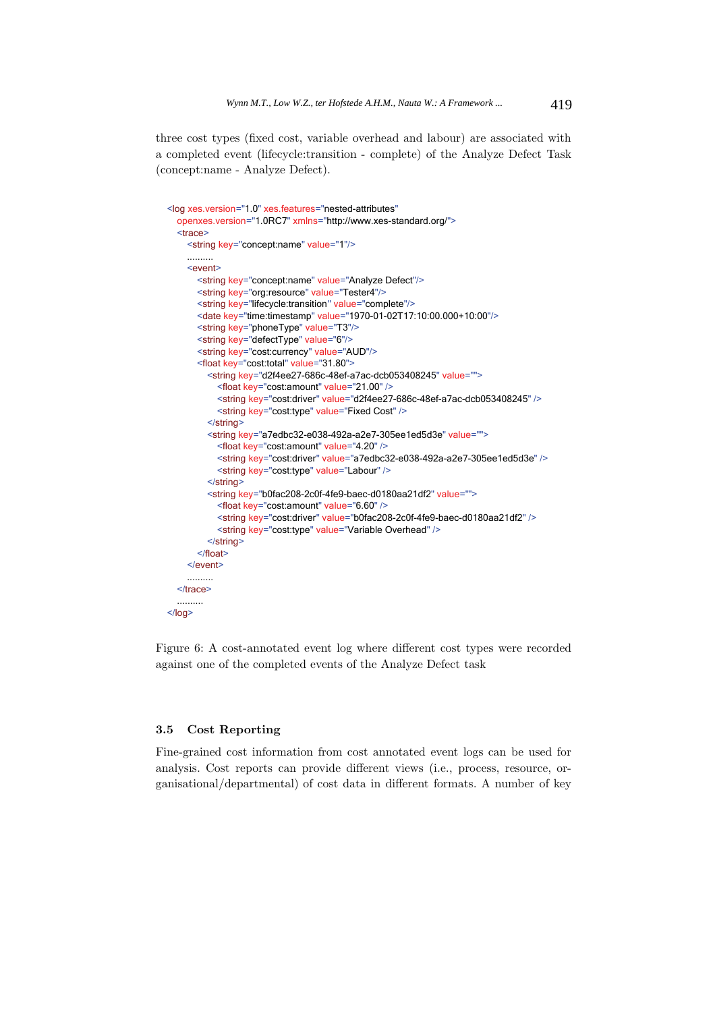three cost types (fixed cost, variable overhead and labour) are associated with a completed event (lifecycle:transition - complete) of the Analyze Defect Task (concept:name - Analyze Defect).

```
<log xes.version="1.0" xes.features="nested-attributes"
  openxes.version="1.0RC7" xmlns="http://www.xes-standard.org/">
  <trace>
    <string key="concept:name" value="1"/>
    \ldots \ldots \ldots<event>
       <string key="concept:name" value="Analyze Defect"/>
       <string key="org:resource" value="Tester4"/>
       <string key="lifecycle:transition" value="complete"/>
       <date key="time:timestamp" value="1970-01-02T17:10:00.000+10:00"/>
       <string key="phoneType" value="T3"/>
       <string key="defectType" value="6"/>
       <string key="cost:currency" value="AUD"/>
       <float key="cost:total" value="31.80">
         <string key="d2f4ee27-686c-48ef-a7ac-dcb053408245" value="">
           <float key="cost:amount" value="21.00" />
           <string key="cost:driver" value="d2f4ee27-686c-48ef-a7ac-dcb053408245" />
           <string key="cost:type" value="Fixed Cost" />
         \le/string>
         <string key="a7edbc32-e038-492a-a2e7-305ee1ed5d3e" value="">
           <float key="cost:amount" value="4.20" />
           <string key="cost:driver" value="a7edbc32-e038-492a-a2e7-305ee1ed5d3e" />
           <string key="cost:type" value="Labour" />
         \le/string>
         <string key="b0fac208-2c0f-4fe9-baec-d0180aa21df2" value="">
           <float key="cost:amount" value="6.60" />
           <string key="cost:driver" value="b0fac208-2c0f-4fe9-baec-d0180aa21df2" />
           <string key="cost:type" value="Variable Overhead" />
         \le/string>
       \le/float>
    </event> 
  \langletrace>
</log>
```
Figure 6: A cost-annotated event log where different cost types were recorded against one of the completed events of the Analyze Defect task

## **3.5 Cost Reporting**

Fine-grained cost information from cost annotated event logs can be used for analysis. Cost reports can provide different views (i.e., process, resource, organisational/departmental) of cost data in different formats. A number of key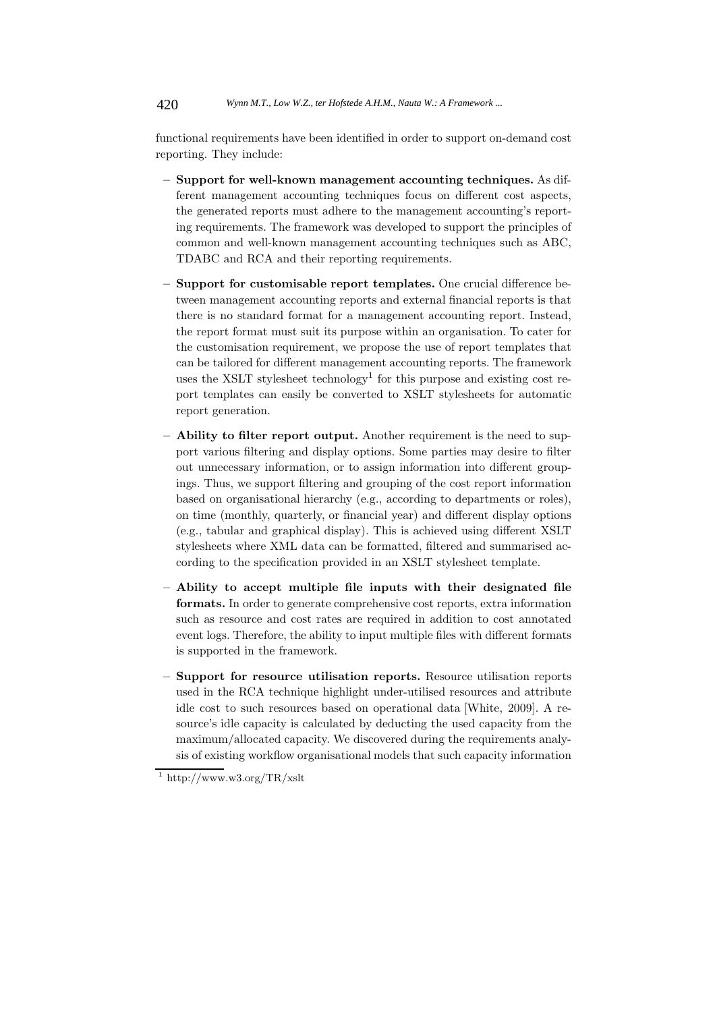functional requirements have been identified in order to support on-demand cost reporting. They include:

- **Support for well-known management accounting techniques.** As different management accounting techniques focus on different cost aspects, the generated reports must adhere to the management accounting's reporting requirements. The framework was developed to support the principles of common and well-known management accounting techniques such as ABC, TDABC and RCA and their reporting requirements.
- **Support for customisable report templates.** One crucial difference between management accounting reports and external financial reports is that there is no standard format for a management accounting report. Instead, the report format must suit its purpose within an organisation. To cater for the customisation requirement, we propose the use of report templates that can be tailored for different management accounting reports. The framework uses the XSLT stylesheet technology<sup>1</sup> for this purpose and existing cost report templates can easily be converted to XSLT stylesheets for automatic report generation.
- **Ability to filter report output.** Another requirement is the need to support various filtering and display options. Some parties may desire to filter out unnecessary information, or to assign information into different groupings. Thus, we support filtering and grouping of the cost report information based on organisational hierarchy (e.g., according to departments or roles), on time (monthly, quarterly, or financial year) and different display options (e.g., tabular and graphical display). This is achieved using different XSLT stylesheets where XML data can be formatted, filtered and summarised according to the specification provided in an XSLT stylesheet template.
- **Ability to accept multiple file inputs with their designated file formats.** In order to generate comprehensive cost reports, extra information such as resource and cost rates are required in addition to cost annotated event logs. Therefore, the ability to input multiple files with different formats is supported in the framework.
- **Support for resource utilisation reports.** Resource utilisation reports used in the RCA technique highlight under-utilised resources and attribute idle cost to such resources based on operational data [White, 2009]. A resource's idle capacity is calculated by deducting the used capacity from the maximum/allocated capacity. We discovered during the requirements analysis of existing workflow organisational models that such capacity information

 $\frac{1}{1}$ http://www.w3.org/TR/xslt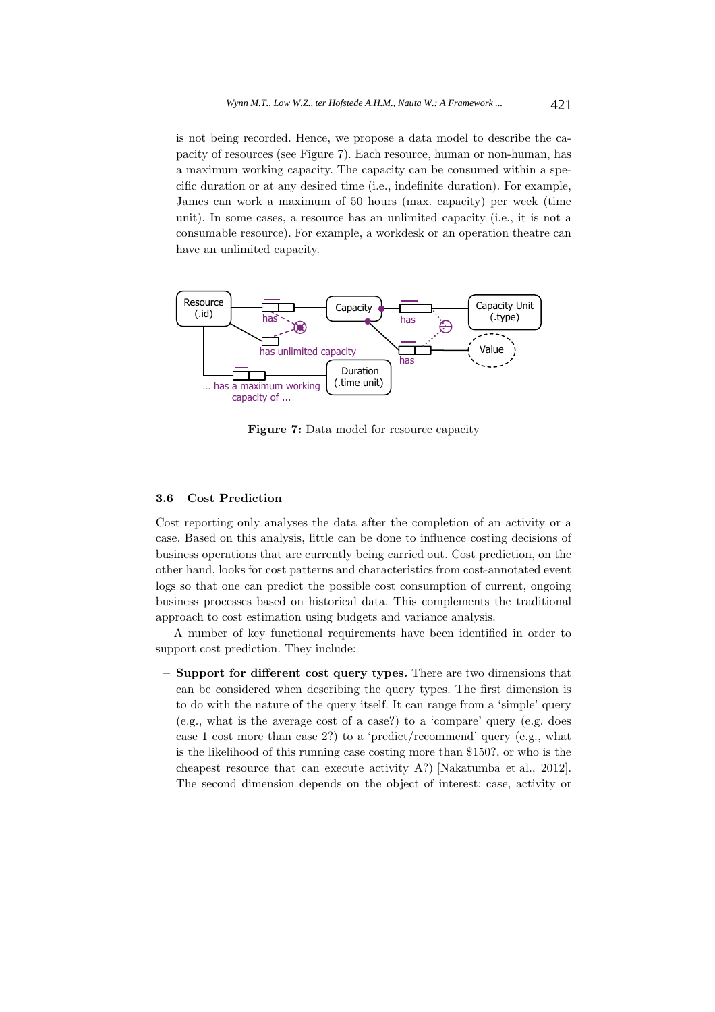is not being recorded. Hence, we propose a data model to describe the capacity of resources (see Figure 7). Each resource, human or non-human, has a maximum working capacity. The capacity can be consumed within a specific duration or at any desired time (i.e., indefinite duration). For example, James can work a maximum of 50 hours (max. capacity) per week (time unit). In some cases, a resource has an unlimited capacity (i.e., it is not a consumable resource). For example, a workdesk or an operation theatre can have an unlimited capacity.



Figure 7: Data model for resource capacity

### **3.6 Cost Prediction**

Cost reporting only analyses the data after the completion of an activity or a case. Based on this analysis, little can be done to influence costing decisions of business operations that are currently being carried out. Cost prediction, on the other hand, looks for cost patterns and characteristics from cost-annotated event logs so that one can predict the possible cost consumption of current, ongoing business processes based on historical data. This complements the traditional approach to cost estimation using budgets and variance analysis.

A number of key functional requirements have been identified in order to support cost prediction. They include:

**– Support for different cost query types.** There are two dimensions that can be considered when describing the query types. The first dimension is to do with the nature of the query itself. It can range from a 'simple' query (e.g., what is the average cost of a case?) to a 'compare' query (e.g. does case 1 cost more than case 2?) to a 'predict/recommend' query (e.g., what is the likelihood of this running case costing more than \$150?, or who is the cheapest resource that can execute activity A?) [Nakatumba et al., 2012]. The second dimension depends on the object of interest: case, activity or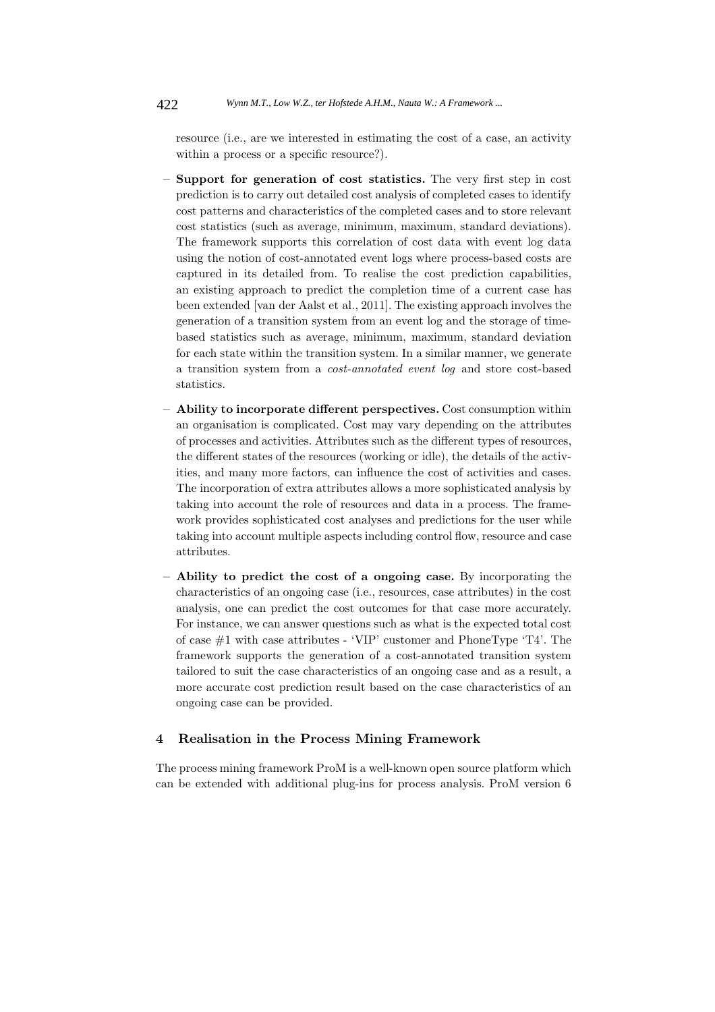resource (i.e., are we interested in estimating the cost of a case, an activity within a process or a specific resource?).

- **Support for generation of cost statistics.** The very first step in cost prediction is to carry out detailed cost analysis of completed cases to identify cost patterns and characteristics of the completed cases and to store relevant cost statistics (such as average, minimum, maximum, standard deviations). The framework supports this correlation of cost data with event log data using the notion of cost-annotated event logs where process-based costs are captured in its detailed from. To realise the cost prediction capabilities, an existing approach to predict the completion time of a current case has been extended [van der Aalst et al., 2011]. The existing approach involves the generation of a transition system from an event log and the storage of timebased statistics such as average, minimum, maximum, standard deviation for each state within the transition system. In a similar manner, we generate a transition system from a *cost-annotated event log* and store cost-based statistics.
- **Ability to incorporate different perspectives.** Cost consumption within an organisation is complicated. Cost may vary depending on the attributes of processes and activities. Attributes such as the different types of resources, the different states of the resources (working or idle), the details of the activities, and many more factors, can influence the cost of activities and cases. The incorporation of extra attributes allows a more sophisticated analysis by taking into account the role of resources and data in a process. The framework provides sophisticated cost analyses and predictions for the user while taking into account multiple aspects including control flow, resource and case attributes.
- **Ability to predict the cost of a ongoing case.** By incorporating the characteristics of an ongoing case (i.e., resources, case attributes) in the cost analysis, one can predict the cost outcomes for that case more accurately. For instance, we can answer questions such as what is the expected total cost of case #1 with case attributes - 'VIP' customer and PhoneType 'T4'. The framework supports the generation of a cost-annotated transition system tailored to suit the case characteristics of an ongoing case and as a result, a more accurate cost prediction result based on the case characteristics of an ongoing case can be provided.

### **4 Realisation in the Process Mining Framework**

The process mining framework ProM is a well-known open source platform which can be extended with additional plug-ins for process analysis. ProM version 6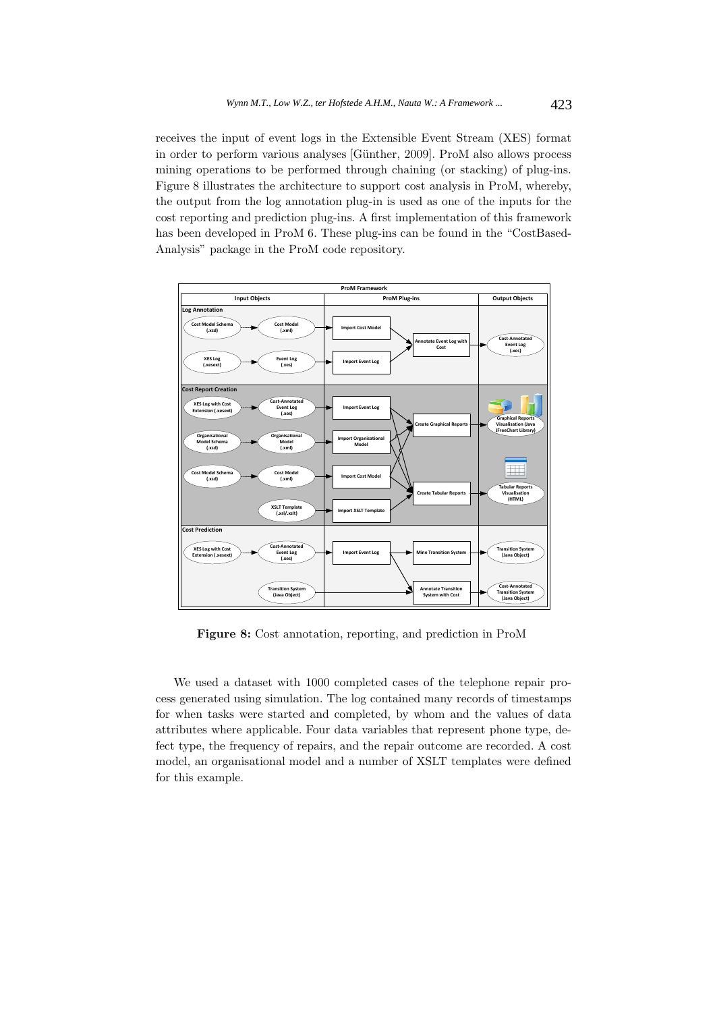receives the input of event logs in the Extensible Event Stream (XES) format in order to perform various analyses [Günther, 2009]. ProM also allows process mining operations to be performed through chaining (or stacking) of plug-ins. Figure 8 illustrates the architecture to support cost analysis in ProM, whereby, the output from the log annotation plug-in is used as one of the inputs for the cost reporting and prediction plug-ins. A first implementation of this framework has been developed in ProM 6. These plug-ins can be found in the "CostBased-Analysis" package in the ProM code repository.



**Figure 8:** Cost annotation, reporting, and prediction in ProM

We used a dataset with 1000 completed cases of the telephone repair process generated using simulation. The log contained many records of timestamps for when tasks were started and completed, by whom and the values of data attributes where applicable. Four data variables that represent phone type, defect type, the frequency of repairs, and the repair outcome are recorded. A cost model, an organisational model and a number of XSLT templates were defined for this example.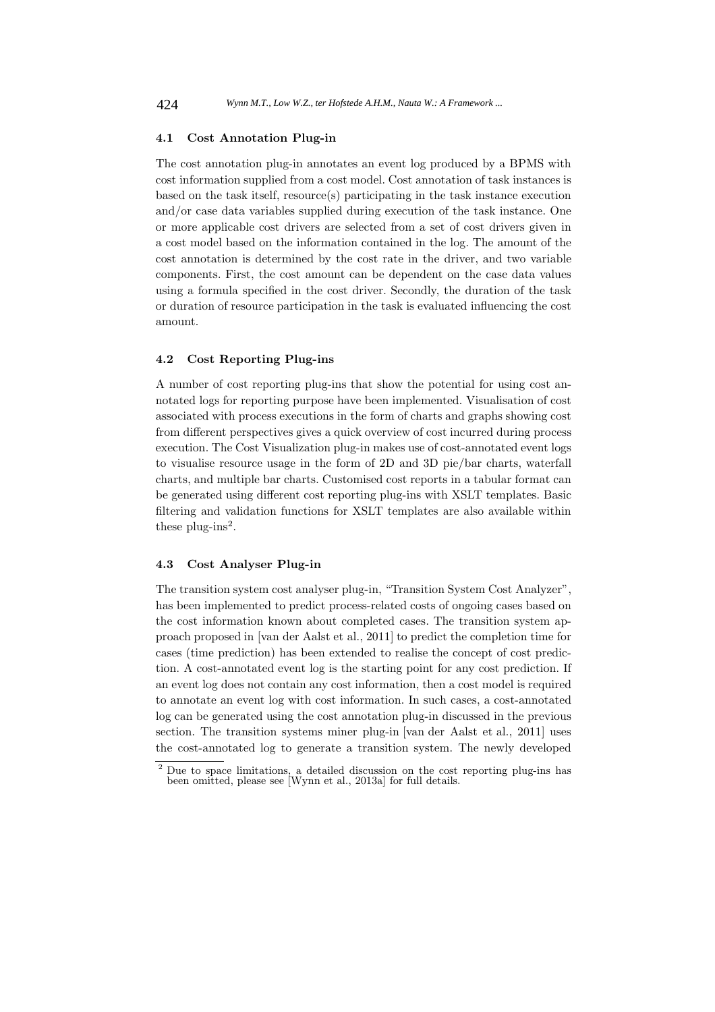#### **4.1 Cost Annotation Plug-in**

The cost annotation plug-in annotates an event log produced by a BPMS with cost information supplied from a cost model. Cost annotation of task instances is based on the task itself, resource(s) participating in the task instance execution and/or case data variables supplied during execution of the task instance. One or more applicable cost drivers are selected from a set of cost drivers given in a cost model based on the information contained in the log. The amount of the cost annotation is determined by the cost rate in the driver, and two variable components. First, the cost amount can be dependent on the case data values using a formula specified in the cost driver. Secondly, the duration of the task or duration of resource participation in the task is evaluated influencing the cost amount.

### **4.2 Cost Reporting Plug-ins**

A number of cost reporting plug-ins that show the potential for using cost annotated logs for reporting purpose have been implemented. Visualisation of cost associated with process executions in the form of charts and graphs showing cost from different perspectives gives a quick overview of cost incurred during process execution. The Cost Visualization plug-in makes use of cost-annotated event logs to visualise resource usage in the form of 2D and 3D pie/bar charts, waterfall charts, and multiple bar charts. Customised cost reports in a tabular format can be generated using different cost reporting plug-ins with XSLT templates. Basic filtering and validation functions for XSLT templates are also available within these plug-ins<sup>2</sup>.

#### **4.3 Cost Analyser Plug-in**

The transition system cost analyser plug-in, "Transition System Cost Analyzer", has been implemented to predict process-related costs of ongoing cases based on the cost information known about completed cases. The transition system approach proposed in [van der Aalst et al., 2011] to predict the completion time for cases (time prediction) has been extended to realise the concept of cost prediction. A cost-annotated event log is the starting point for any cost prediction. If an event log does not contain any cost information, then a cost model is required to annotate an event log with cost information. In such cases, a cost-annotated log can be generated using the cost annotation plug-in discussed in the previous section. The transition systems miner plug-in [van der Aalst et al., 2011] uses the cost-annotated log to generate a transition system. The newly developed

<sup>&</sup>lt;sup>2</sup> Due to space limitations, a detailed discussion on the cost reporting plug-ins has been omitted, please see [Wynn et al., 2013a] for full details.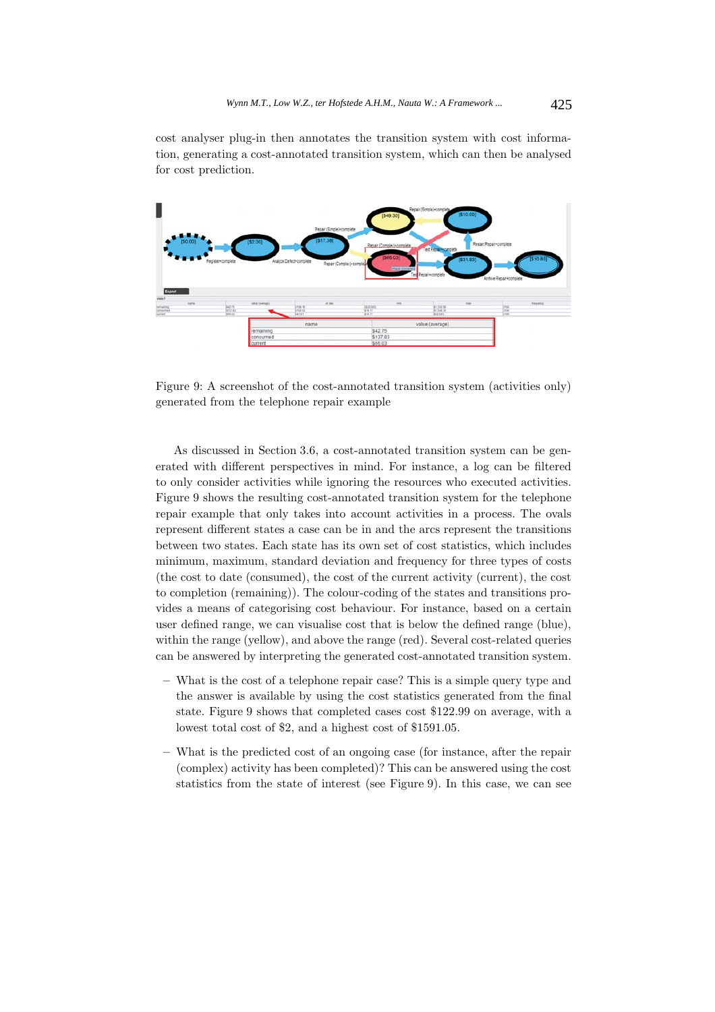cost analyser plug-in then annotates the transition system with cost information, generating a cost-annotated transition system, which can then be analysed for cost prediction.



Figure 9: A screenshot of the cost-annotated transition system (activities only) generated from the telephone repair example

As discussed in Section 3.6, a cost-annotated transition system can be generated with different perspectives in mind. For instance, a log can be filtered to only consider activities while ignoring the resources who executed activities. Figure 9 shows the resulting cost-annotated transition system for the telephone repair example that only takes into account activities in a process. The ovals represent different states a case can be in and the arcs represent the transitions between two states. Each state has its own set of cost statistics, which includes minimum, maximum, standard deviation and frequency for three types of costs (the cost to date (consumed), the cost of the current activity (current), the cost to completion (remaining)). The colour-coding of the states and transitions provides a means of categorising cost behaviour. For instance, based on a certain user defined range, we can visualise cost that is below the defined range (blue), within the range (yellow), and above the range (red). Several cost-related queries can be answered by interpreting the generated cost-annotated transition system.

- **–** What is the cost of a telephone repair case? This is a simple query type and the answer is available by using the cost statistics generated from the final state. Figure 9 shows that completed cases cost \$122.99 on average, with a lowest total cost of \$2, and a highest cost of \$1591.05.
- **–** What is the predicted cost of an ongoing case (for instance, after the repair (complex) activity has been completed)? This can be answered using the cost statistics from the state of interest (see Figure 9). In this case, we can see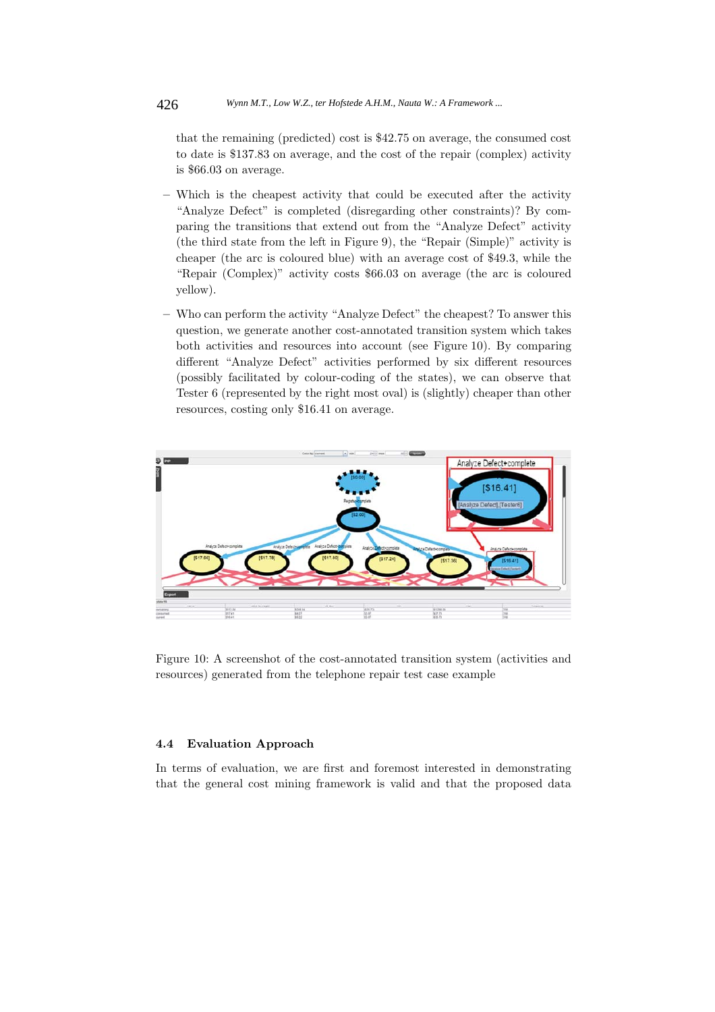that the remaining (predicted) cost is \$42.75 on average, the consumed cost to date is \$137.83 on average, and the cost of the repair (complex) activity is \$66.03 on average.

- **–** Which is the cheapest activity that could be executed after the activity "Analyze Defect" is completed (disregarding other constraints)? By comparing the transitions that extend out from the "Analyze Defect" activity (the third state from the left in Figure 9), the "Repair (Simple)" activity is cheaper (the arc is coloured blue) with an average cost of \$49.3, while the "Repair (Complex)" activity costs \$66.03 on average (the arc is coloured yellow).
- **–** Who can perform the activity "Analyze Defect" the cheapest? To answer this question, we generate another cost-annotated transition system which takes both activities and resources into account (see Figure 10). By comparing different "Analyze Defect" activities performed by six different resources (possibly facilitated by colour-coding of the states), we can observe that Tester 6 (represented by the right most oval) is (slightly) cheaper than other resources, costing only \$16.41 on average.



Figure 10: A screenshot of the cost-annotated transition system (activities and resources) generated from the telephone repair test case example

### **4.4 Evaluation Approach**

In terms of evaluation, we are first and foremost interested in demonstrating that the general cost mining framework is valid and that the proposed data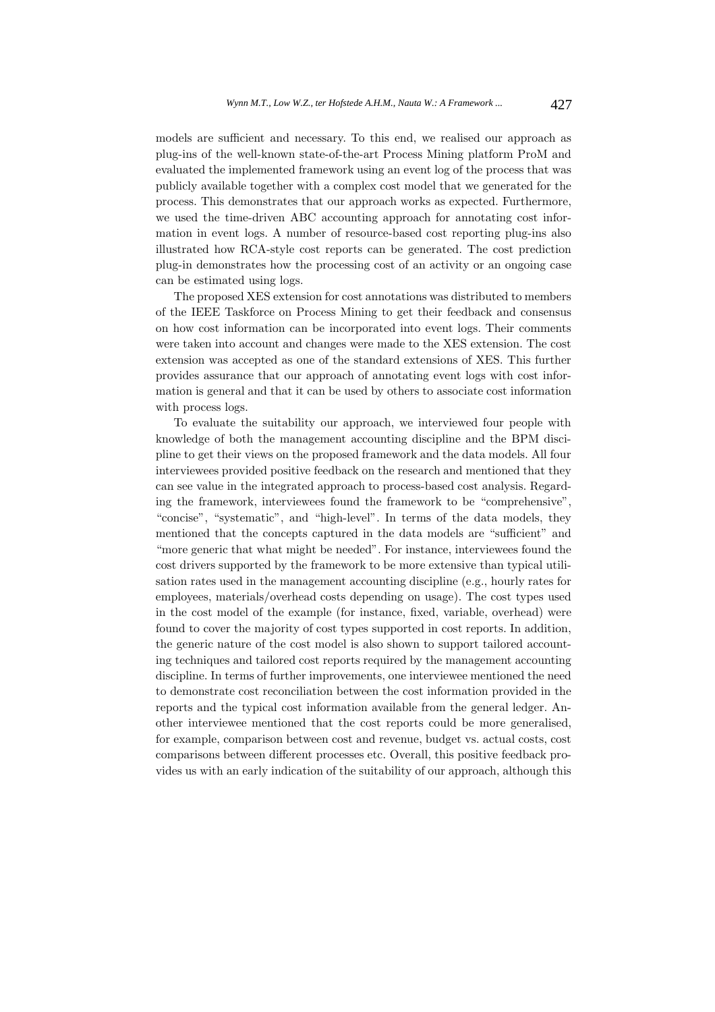models are sufficient and necessary. To this end, we realised our approach as plug-ins of the well-known state-of-the-art Process Mining platform ProM and evaluated the implemented framework using an event log of the process that was publicly available together with a complex cost model that we generated for the process. This demonstrates that our approach works as expected. Furthermore, we used the time-driven ABC accounting approach for annotating cost information in event logs. A number of resource-based cost reporting plug-ins also illustrated how RCA-style cost reports can be generated. The cost prediction plug-in demonstrates how the processing cost of an activity or an ongoing case can be estimated using logs.

The proposed XES extension for cost annotations was distributed to members of the IEEE Taskforce on Process Mining to get their feedback and consensus on how cost information can be incorporated into event logs. Their comments were taken into account and changes were made to the XES extension. The cost extension was accepted as one of the standard extensions of XES. This further provides assurance that our approach of annotating event logs with cost information is general and that it can be used by others to associate cost information with process logs.

To evaluate the suitability our approach, we interviewed four people with knowledge of both the management accounting discipline and the BPM discipline to get their views on the proposed framework and the data models. All four interviewees provided positive feedback on the research and mentioned that they can see value in the integrated approach to process-based cost analysis. Regarding the framework, interviewees found the framework to be "comprehensive", "concise", "systematic", and "high-level". In terms of the data models, they mentioned that the concepts captured in the data models are "sufficient" and "more generic that what might be needed". For instance, interviewees found the cost drivers supported by the framework to be more extensive than typical utilisation rates used in the management accounting discipline (e.g., hourly rates for employees, materials/overhead costs depending on usage). The cost types used in the cost model of the example (for instance, fixed, variable, overhead) were found to cover the majority of cost types supported in cost reports. In addition, the generic nature of the cost model is also shown to support tailored accounting techniques and tailored cost reports required by the management accounting discipline. In terms of further improvements, one interviewee mentioned the need to demonstrate cost reconciliation between the cost information provided in the reports and the typical cost information available from the general ledger. Another interviewee mentioned that the cost reports could be more generalised, for example, comparison between cost and revenue, budget vs. actual costs, cost comparisons between different processes etc. Overall, this positive feedback provides us with an early indication of the suitability of our approach, although this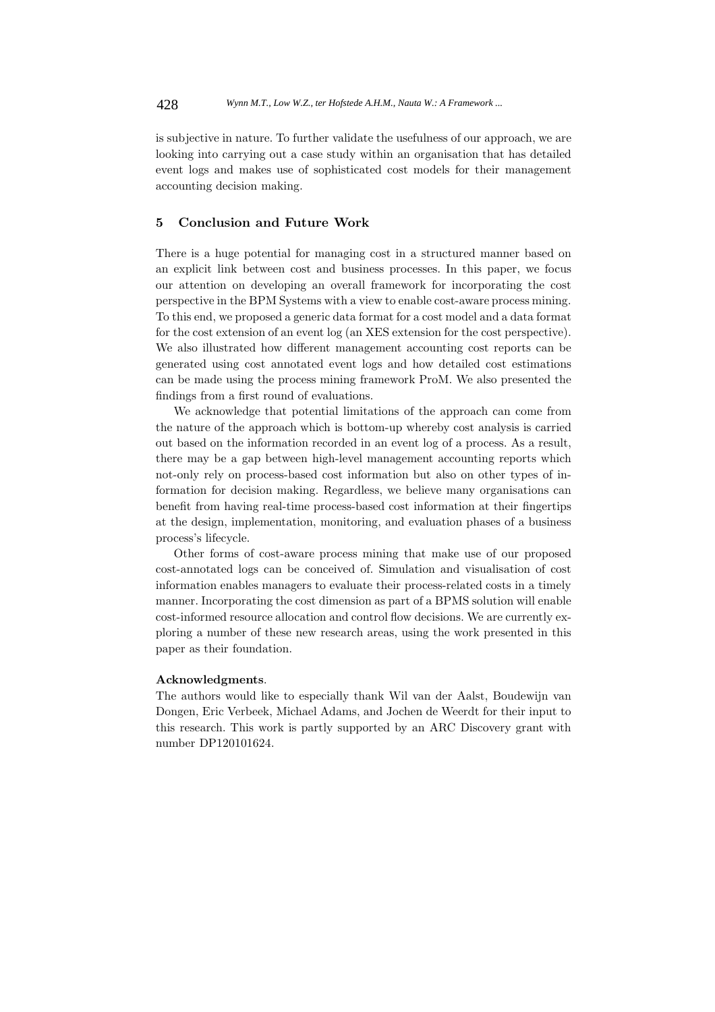is subjective in nature. To further validate the usefulness of our approach, we are looking into carrying out a case study within an organisation that has detailed event logs and makes use of sophisticated cost models for their management accounting decision making.

## **5 Conclusion and Future Work**

There is a huge potential for managing cost in a structured manner based on an explicit link between cost and business processes. In this paper, we focus our attention on developing an overall framework for incorporating the cost perspective in the BPM Systems with a view to enable cost-aware process mining. To this end, we proposed a generic data format for a cost model and a data format for the cost extension of an event log (an XES extension for the cost perspective). We also illustrated how different management accounting cost reports can be generated using cost annotated event logs and how detailed cost estimations can be made using the process mining framework ProM. We also presented the findings from a first round of evaluations.

We acknowledge that potential limitations of the approach can come from the nature of the approach which is bottom-up whereby cost analysis is carried out based on the information recorded in an event log of a process. As a result, there may be a gap between high-level management accounting reports which not-only rely on process-based cost information but also on other types of information for decision making. Regardless, we believe many organisations can benefit from having real-time process-based cost information at their fingertips at the design, implementation, monitoring, and evaluation phases of a business process's lifecycle.

Other forms of cost-aware process mining that make use of our proposed cost-annotated logs can be conceived of. Simulation and visualisation of cost information enables managers to evaluate their process-related costs in a timely manner. Incorporating the cost dimension as part of a BPMS solution will enable cost-informed resource allocation and control flow decisions. We are currently exploring a number of these new research areas, using the work presented in this paper as their foundation.

#### **Acknowledgments**.

The authors would like to especially thank Wil van der Aalst, Boudewijn van Dongen, Eric Verbeek, Michael Adams, and Jochen de Weerdt for their input to this research. This work is partly supported by an ARC Discovery grant with number DP120101624.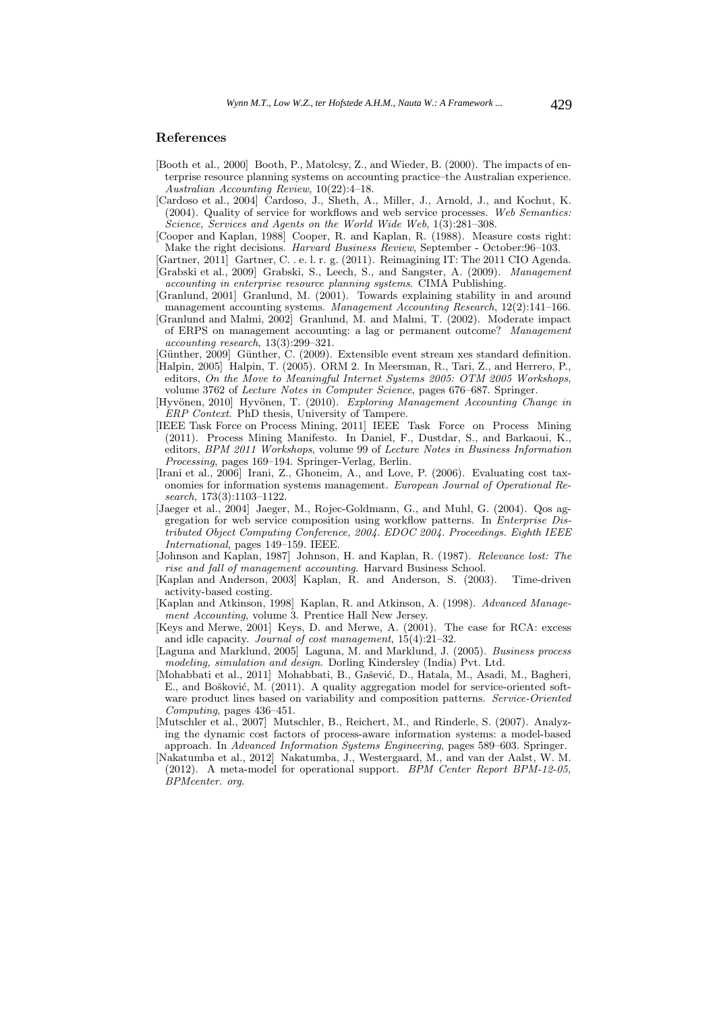#### **References**

- [Booth et al., 2000] Booth, P., Matolcsy, Z., and Wieder, B. (2000). The impacts of enterprise resource planning systems on accounting practice–the Australian experience. *Australian Accounting Review*, 10(22):4–18.
- [Cardoso et al., 2004] Cardoso, J., Sheth, A., Miller, J., Arnold, J., and Kochut, K. (2004). Quality of service for workflows and web service processes. *Web Semantics: Science, Services and Agents on the World Wide Web*, 1(3):281–308.
- [Cooper and Kaplan, 1988] Cooper, R. and Kaplan, R. (1988). Measure costs right: Make the right decisions. *Harvard Business Review*, September - October:96–103.
- [Gartner, 2011] Gartner, C. . e. l. r. g. (2011). Reimagining IT: The 2011 CIO Agenda. [Grabski et al., 2009] Grabski, S., Leech, S., and Sangster, A. (2009). *Management accounting in enterprise resource planning systems*. CIMA Publishing.
- [Granlund, 2001] Granlund, M. (2001). Towards explaining stability in and around management accounting systems. *Management Accounting Research*, 12(2):141–166.
- [Granlund and Malmi, 2002] Granlund, M. and Malmi, T. (2002). Moderate impact of ERPS on management accounting: a lag or permanent outcome? *Management accounting research*, 13(3):299–321.
- [G¨unther, 2009] G¨unther, C. (2009). Extensible event stream xes standard definition.
- [Halpin, 2005] Halpin, T. (2005). ORM 2. In Meersman, R., Tari, Z., and Herrero, P., editors, *On the Move to Meaningful Internet Systems 2005: OTM 2005 Workshops*, volume 3762 of *Lecture Notes in Computer Science*, pages 676–687. Springer.
- [Hyvönen, 2010] Hyvönen, T. (2010). *Exploring Management Accounting Change in ERP Context*. PhD thesis, University of Tampere.
- [IEEE Task Force on Process Mining, 2011] IEEE Task Force on Process Mining (2011). Process Mining Manifesto. In Daniel, F., Dustdar, S., and Barkaoui, K., editors, *BPM 2011 Workshops*, volume 99 of *Lecture Notes in Business Information Processing*, pages 169–194. Springer-Verlag, Berlin.
- [Irani et al., 2006] Irani, Z., Ghoneim, A., and Love, P. (2006). Evaluating cost taxonomies for information systems management. *European Journal of Operational Research*, 173(3):1103–1122.
- [Jaeger et al., 2004] Jaeger, M., Rojec-Goldmann, G., and Muhl, G. (2004). Qos aggregation for web service composition using workflow patterns. In *Enterprise Distributed Object Computing Conference, 2004. EDOC 2004. Proceedings. Eighth IEEE International*, pages 149–159. IEEE.
- [Johnson and Kaplan, 1987] Johnson, H. and Kaplan, R. (1987). *Relevance lost: The rise and fall of management accounting*. Harvard Business School.
- [Kaplan and Anderson, 2003] Kaplan, R. and Anderson, S. (2003). Time-driven activity-based costing.
- [Kaplan and Atkinson, 1998] Kaplan, R. and Atkinson, A. (1998). *Advanced Management Accounting*, volume 3. Prentice Hall New Jersey.
- [Keys and Merwe, 2001] Keys, D. and Merwe, A. (2001). The case for RCA: excess and idle capacity. *Journal of cost management*, 15(4):21–32.
- [Laguna and Marklund, 2005] Laguna, M. and Marklund, J. (2005). *Business process modeling, simulation and design*. Dorling Kindersley (India) Pvt. Ltd.
- [Mohabbati et al., 2011] Mohabbati, B., Gašević, D., Hatala, M., Asadi, M., Bagheri, E., and Bošković, M. (2011). A quality aggregation model for service-oriented software product lines based on variability and composition patterns. *Service-Oriented Computing*, pages 436–451.
- [Mutschler et al., 2007] Mutschler, B., Reichert, M., and Rinderle, S. (2007). Analyzing the dynamic cost factors of process-aware information systems: a model-based approach. In *Advanced Information Systems Engineering*, pages 589–603. Springer.
- [Nakatumba et al., 2012] Nakatumba, J., Westergaard, M., and van der Aalst, W. M. (2012). A meta-model for operational support. *BPM Center Report BPM-12-05, BPMcenter. org*.